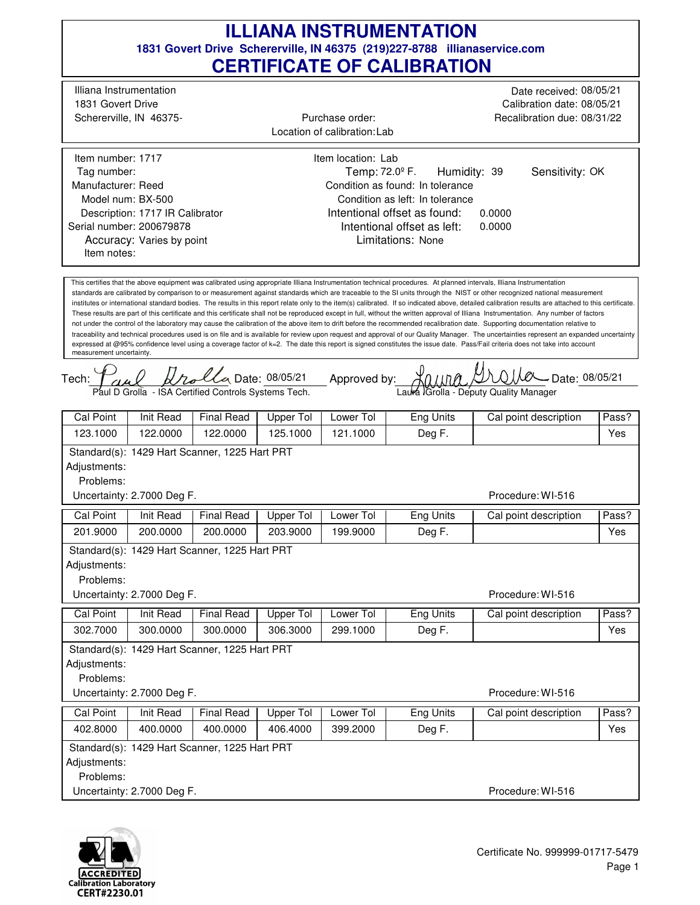## **1831 Govert Drive Schererville, IN 46375 (219)227-8788 illianaservice.com CERTIFICATE OF CALIBRATION ILLIANA INSTRUMENTATION**

 $0.1100 \times 10^{10}$  Date: 08/05/21 traceability and technical procedures used is on file and is available for review upon request and approval of our Quality Manager. The uncertainties represent an expanded uncertainty Intentional offset as found: Tech: This certifies that the above equipment was calibrated using appropriate Illiana Instrumentation technical procedures. At planned intervals, Illiana Instrumentation standards are calibrated by comparison to or measurement against standards which are traceable to the SI units through the NIST or other recognized national measurement institutes or international standard bodies. The results in this report relate only to the item(s) calibrated. If so indicated above, detailed calibration results are attached to this certificate. These results are part of this certificate and this certificate shall not be reproduced except in full, without the written approval of Illiana Instrumentation. Any number of factors not under the control of the laboratory may cause the calibration of the above item to drift before the recommended recalibration date. Supporting documentation relative to expressed at @95% confidence level using a coverage factor of k=2. The date this report is signed constitutes the issue date. Pass/Fail criteria does not take into account measurement uncertainty. Approved by: 0.0000 Limitations: None Temp:  $72.0^{\circ}$  F. 0.0000 Accuracy: Varies by point Humidity: 39 Illiana Instrumentation Schererville, IN 46375- 1831 Govert Drive Date received: 08/05/21 Calibration date: 08/05/21 Recalibration due: 08/31/22 Location of calibration: Lab Item number: 1717 Description: 1717 IR Calibrator Manufacturer: Reed Model num: BX-500 Tag number: Serial number: 200679878 Item location: Lab Condition as found: In tolerance Condition as left: In tolerance Purchase order: Item notes: Sensitivity: OK Intentional offset as left: *Dalla* Date: 08/05/21 Paul D Grolla - ISA Certified Controls Systems Tech. Laura Grolla - Deputy Quality Manager Procedure: WI-516 Cal Point | Init Read | Final Read | Upper Tol | Lower Tol | Eng Units | Cal point description | Pass? 123.1000 122.0000 122.0000 125.1000 121.1000 Deg F. Yes Standard(s): 1429 Hart Scanner, 1225 Hart PRT Adjustments: Problems: Uncertainty: 2.7000 Deg F. Procedure: WI-516 Cal Point | Init Read | Final Read | Upper Tol | Lower Tol | Eng Units | Cal point description | Pass? 201.9000 | 200.0000 | 200.0000 | 203.9000 | 199.9000 | Deg F. | | Yes Standard(s): 1429 Hart Scanner, 1225 Hart PRT Adjustments: Problems: Uncertainty: 2.7000 Deg F. Procedure: WI-516 Cal Point | Init Read | Final Read | Upper Tol | Lower Tol | Eng Units | Cal point description | Pass? 302.7000 300.0000 300.0000 306.3000 299.1000 Deg F. Yes Standard(s): 1429 Hart Scanner, 1225 Hart PRT Adjustments: Problems: Uncertainty: 2.7000 Deg F. Procedure: WI-516 Cal Point | Init Read | Final Read | Upper Tol | Lower Tol | Eng Units | Cal point description | Pass? 402.8000 400.0000 400.0000 406.4000 399.2000 Deg F. Yes Standard(s): 1429 Hart Scanner, 1225 Hart PRT Adjustments: Problems: Uncertainty: 2.7000 Deg F.